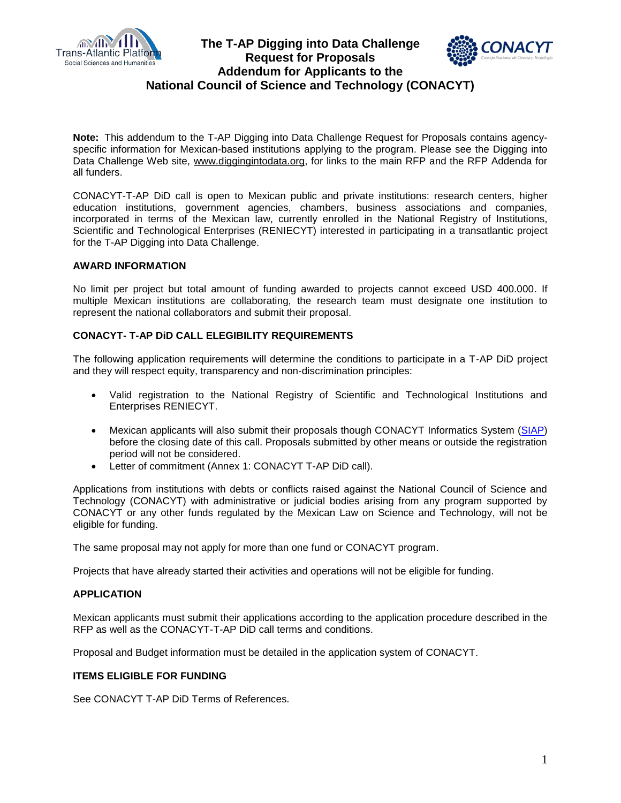

## **The T-AP Digging into Data Challenge Request for Proposals Addendum for Applicants to the National Council of Science and Technology (CONACYT)**



**Note:** This addendum to the T-AP Digging into Data Challenge Request for Proposals contains agencyspecific information for Mexican-based institutions applying to the program. Please see the Digging into Data Challenge Web site, [www.diggingintodata.org,](http://www.diggingintodata.org/) for links to the main RFP and the RFP Addenda for all funders.

CONACYT-T-AP DiD call is open to Mexican public and private institutions: research centers, higher education institutions, government agencies, chambers, business associations and companies, incorporated in terms of the Mexican law, currently enrolled in the National Registry of Institutions, Scientific and Technological Enterprises (RENIECYT) interested in participating in a transatlantic project for the T-AP Digging into Data Challenge.

#### **AWARD INFORMATION**

No limit per project but total amount of funding awarded to projects cannot exceed USD 400.000. If multiple Mexican institutions are collaborating, the research team must designate one institution to represent the national collaborators and submit their proposal.

## **CONACYT- T-AP DiD CALL ELEGIBILITY REQUIREMENTS**

The following application requirements will determine the conditions to participate in a T-AP DiD project and they will respect equity, transparency and non-discrimination principles:

- Valid registration to the National Registry of Scientific and Technological Institutions and Enterprises RENIECYT.
- Mexican applicants will also submit their proposals though CONACYT Informatics System [\(SIAP\)](http://fondos.main.conacyt.mx/psp/FONDOS/?cmd=login&languageCd=ESP) before the closing date of this call. Proposals submitted by other means or outside the registration period will not be considered.
- Letter of commitment (Annex 1: CONACYT T-AP DiD call).

Applications from institutions with debts or conflicts raised against the National Council of Science and Technology (CONACYT) with administrative or judicial bodies arising from any program supported by CONACYT or any other funds regulated by the Mexican Law on Science and Technology, will not be eligible for funding.

The same proposal may not apply for more than one fund or CONACYT program.

Projects that have already started their activities and operations will not be eligible for funding.

#### **APPLICATION**

Mexican applicants must submit their applications according to the application procedure described in the RFP as well as the CONACYT-T-AP DiD call terms and conditions.

Proposal and Budget information must be detailed in the application system of CONACYT.

#### **ITEMS ELIGIBLE FOR FUNDING**

See CONACYT T-AP DiD Terms of References.